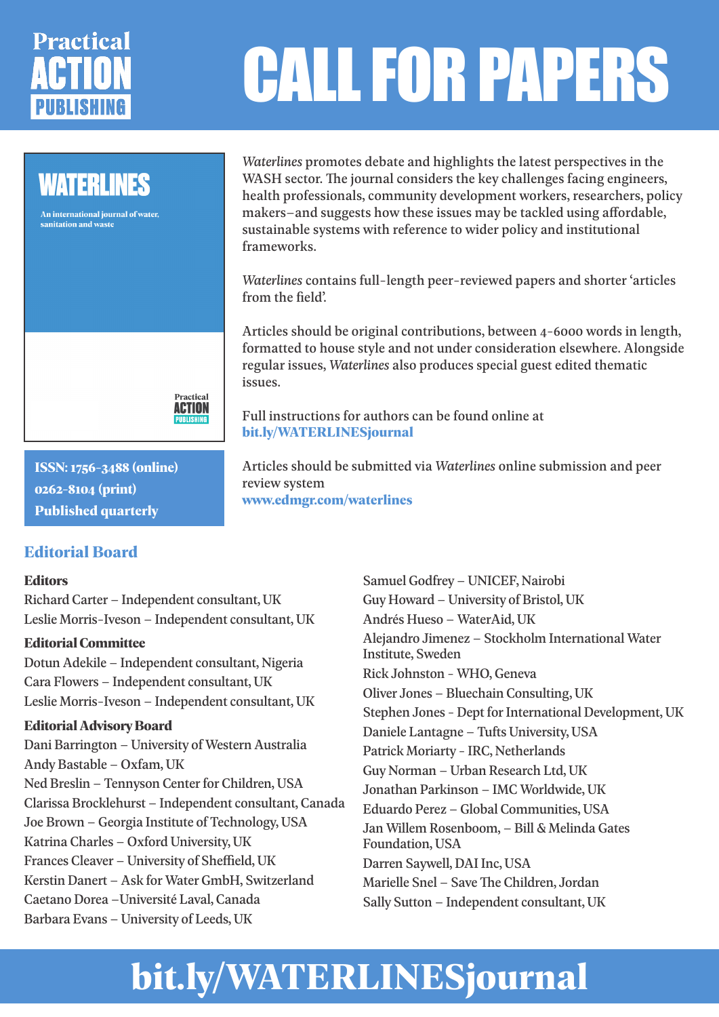# **Practical**

## CALL FOR PAPERS

## **WATERLINES**

An international iournal of water. sanitation and waste



**ISSN: 1756-3488 (online) 0262-8104 (print) Published quarterly**

## **Editorial Board**

#### **Editors**

Richard Carter – Independent consultant, UK Leslie Morris-Iveson – Independent consultant, UK

#### **Editorial Committee**

Dotun Adekile – Independent consultant, Nigeria Cara Flowers – Independent consultant, UK Leslie Morris-Iveson – Independent consultant, UK

#### **Editorial Advisory Board**

Dani Barrington – University of Western Australia Andy Bastable – Oxfam, UK Ned Breslin – Tennyson Center for Children, USA Clarissa Brocklehurst – Independent consultant, Canada Joe Brown – Georgia Institute of Technology, USA Katrina Charles – Oxford University, UK Frances Cleaver – University of Sheffield, UK Kerstin Danert – Ask for Water GmbH, Switzerland Caetano Dorea –Université Laval, Canada Barbara Evans – University of Leeds, UK

*Waterlines* promotes debate and highlights the latest perspectives in the WASH sector. The journal considers the key challenges facing engineers, health professionals, community development workers, researchers, policy makers–and suggests how these issues may be tackled using affordable, sustainable systems with reference to wider policy and institutional frameworks.

*Waterlines* contains full-length peer-reviewed papers and shorter 'articles from the field'.

Articles should be original contributions, between 4-6000 words in length, formatted to house style and not under consideration elsewhere. Alongside regular issues, *Waterlines* also produces special guest edited thematic issues.

Full instructions for authors can be found online at **bit.ly/WATERLINESjournal**

Articles should be submitted via *Waterlines* online submission and peer review system **www.edmgr.com/waterlines**

> Samuel Godfrey – UNICEF, Nairobi Guy Howard – University of Bristol, UK Andrés Hueso – WaterAid, UK Alejandro Jimenez – Stockholm International Water Institute, Sweden Rick Johnston - WHO, Geneva Oliver Jones – Bluechain Consulting, UK Stephen Jones - Dept for International Development, UK Daniele Lantagne – Tufts University, USA Patrick Moriarty - IRC, Netherlands Guy Norman – Urban Research Ltd, UK Jonathan Parkinson – IMC Worldwide, UK Eduardo Perez – Global Communities, USA Jan Willem Rosenboom, – Bill & Melinda Gates Foundation, USA Darren Saywell, DAI Inc, USA Marielle Snel – Save The Children, Jordan Sally Sutton – Independent consultant, UK

## **bit.ly/WATERLINESjournal**